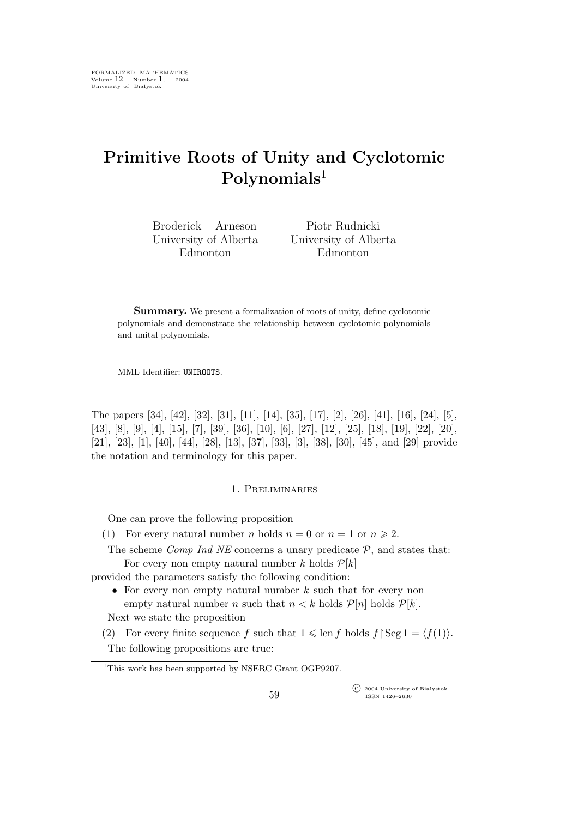# **Primitive Roots of Unity and Cyclotomic Polynomials**<sup>1</sup>

Broderick Arneson University of Alberta Edmonton

Piotr Rudnicki University of Alberta Edmonton

**Summary.** We present a formalization of roots of unity, define cyclotomic polynomials and demonstrate the relationship between cyclotomic polynomials and unital polynomials.

MML Identifier: UNIROOTS.

The papers [34], [42], [32], [31], [11], [14], [35], [17], [2], [26], [41], [16], [24], [5], [43], [8], [9], [4], [15], [7], [39], [36], [10], [6], [27], [12], [25], [18], [19], [22], [20], [21], [23], [1], [40], [44], [28], [13], [37], [33], [3], [38], [30], [45], and [29] provide the notation and terminology for this paper.

## 1. Preliminaries

One can prove the following proposition

(1) For every natural number *n* holds  $n = 0$  or  $n = 1$  or  $n \ge 2$ .

The scheme *Comp Ind NE* concerns a unary predicate *P*, and states that: For every non empty natural number k holds  $P[k]$ 

provided the parameters satisfy the following condition:

• For every non empty natural number k such that for every non empty natural number *n* such that  $n < k$  holds  $\mathcal{P}[n]$  holds  $\mathcal{P}[k]$ . Next we state the proposition

(2) For every finite sequence f such that  $1 \leq \text{len } f$  holds  $f \upharpoonright \text{Seg } 1 = \langle f(1) \rangle$ . The following propositions are true:

°c 2004 University of Białystok ISSN 1426–2630

<sup>&</sup>lt;sup>1</sup>This work has been supported by NSERC Grant OGP9207.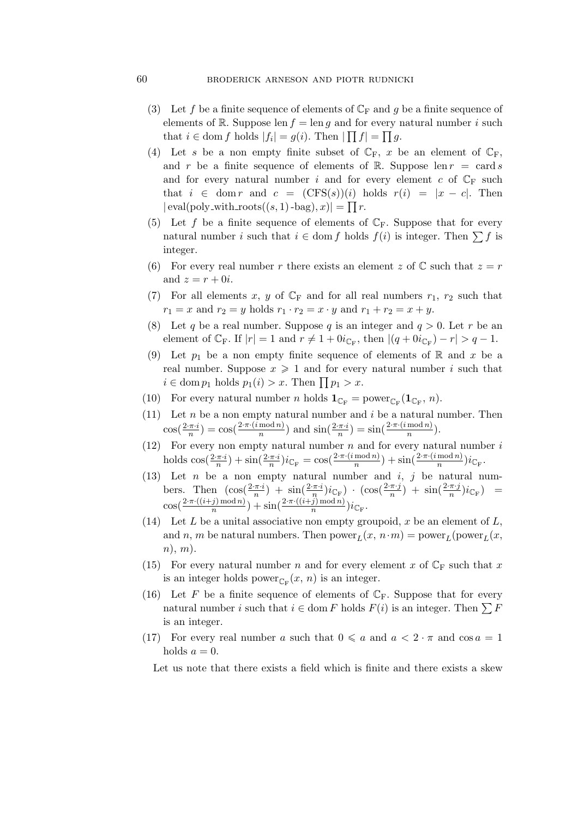# 60 broderick arneson and piotr rudnicki

- (3) Let f be a finite sequence of elements of  $\mathbb{C}_{\mathrm{F}}$  and g be a finite sequence of elements of R. Suppose len  $f = \text{len } g$  and for every natural number i such that  $i \in \text{dom } f$  holds  $|f_i| = g(i)$ . Then  $|\prod f| = \prod g$ .
- (4) Let s be a non empty finite subset of  $\mathbb{C}_F$ , x be an element of  $\mathbb{C}_F$ , and r be a finite sequence of elements of R. Suppose len  $r = \text{card } s$ and for every natural number i and for every element c of  $\mathbb{C}_{\mathbb{F}}$  such that  $i \in \text{dom } r$  and  $c = (\text{CFS}(s))(i)$  holds  $r(i) = |x - c|$ . Then  $|\text{eval}(\text{poly\_with\_roots}((s, 1) - \text{bag}), x)| = \prod r.$
- (5) Let f be a finite sequence of elements of  $\mathbb{C}_F$ . Suppose that for every natural number i such that  $i \in \text{dom } f$  holds  $f(i)$  is integer. Then  $\sum f$  is integer.
- (6) For every real number r there exists an element z of  $\mathbb C$  such that  $z = r$ and  $z = r + 0i$ .
- (7) For all elements x, y of  $\mathbb{C}_{\mathbb{F}}$  and for all real numbers  $r_1$ ,  $r_2$  such that  $r_1 = x$  and  $r_2 = y$  holds  $r_1 \cdot r_2 = x \cdot y$  and  $r_1 + r_2 = x + y$ .
- (8) Let q be a real number. Suppose q is an integer and  $q > 0$ . Let r be an element of  $\mathbb{C}_F$ . If  $|r| = 1$  and  $r \neq 1 + 0i_{\mathbb{C}_F}$ , then  $|(q + 0i_{\mathbb{C}_F}) - r| > q - 1$ .
- (9) Let  $p_1$  be a non empty finite sequence of elements of R and x be a real number. Suppose  $x \geq 1$  and for every natural number i such that  $i \in \text{dom } p_1 \text{ holds } p_1(i) > x. \text{ Then } \prod p_1 > x.$
- (10) For every natural number *n* holds  $\mathbf{1}_{\mathbb{C}_{\mathrm{F}}} = \text{power}_{\mathbb{C}_{\mathrm{F}}}(1_{\mathbb{C}_{\mathrm{F}}}, n)$ .
- (11) Let  $n$  be a non empty natural number and  $i$  be a natural number. Then  $\cos(\frac{2 \cdot \pi \cdot i}{n}) = \cos(\frac{2 \cdot \pi \cdot (i \mod n)}{n})$  $\frac{\text{mod } n}{n}$ ) and  $\sin(\frac{2 \cdot \pi \cdot i}{n}) = \sin(\frac{2 \cdot \pi \cdot (i \mod n)}{n})$  $\frac{\mod n}{n}$ ).
- (12) For every non empty natural number  $n$  and for every natural number  $i$ holds  $\cos(\frac{2 \cdot \pi \cdot i}{n}) + \sin(\frac{2 \cdot \pi \cdot i}{n})i_{\mathbb{C}_{\mathbb{F}}} = \cos(\frac{2 \cdot \pi \cdot (i \mod n)}{n})$  $\frac{\mod n}{n}$ ) + sin( $\frac{2 \cdot \pi \cdot (i \mod n)}{n}$  $\frac{\text{mod }n_j}{n}$ ) $i_{\mathbb{C}_F}$ .
- (13) Let *n* be a non empty natural number and  $i, j$  be natural numbers. Then  $\left(\cos(\frac{2\pi i}{n}) + \sin(\frac{2\pi i}{n})i_{\mathbb{C}_{\mathbb{F}}}\right) \cdot \left(\cos(\frac{2\pi i}{n})\right)$  $\frac{\pi \cdot j}{n}$ ) + sin( $\frac{2 \cdot \pi \cdot j}{n}$  $\frac{\pi \cdot \jmath}{n}$ ) $i_{\mathbb{C}_{\mathrm{F}}}\right)$  =  $\cos\left(\frac{2 \cdot \pi \cdot ((i+j) \bmod n)}{n}\right)$  $\left(\frac{j \mod n}{n}\right) + \sin\left(\frac{2 \cdot \pi \cdot ((i+j) \mod n)}{n}\right)$  $\frac{j(\text{mod }n)}{n}$ ) $i_{\mathbb{C}_{\mathrm{F}}}$ .
- (14) Let L be a unital associative non empty groupoid, x be an element of L, and n, m be natural numbers. Then  $power_L(x, n \cdot m) = power_L(power_L(x,$  $n), m).$
- (15) For every natural number n and for every element x of  $\mathbb{C}_F$  such that x is an integer holds power<sub> $\mathbb{C}_{\mathbb{F}}(x, n)$  is an integer.</sub>
- (16) Let F be a finite sequence of elements of  $\mathbb{C}_F$ . Suppose that for every natural number i such that  $i \in \text{dom } F$  holds  $F(i)$  is an integer. Then  $\sum F$ is an integer.
- (17) For every real number a such that  $0 \leq a$  and  $a < 2 \cdot \pi$  and  $\cos a = 1$ holds  $a = 0$ .

Let us note that there exists a field which is finite and there exists a skew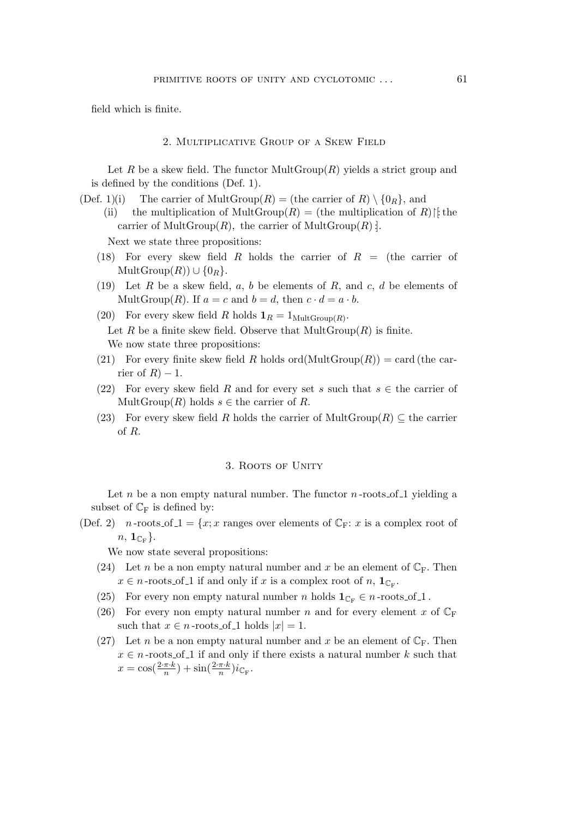field which is finite.

#### 2. Multiplicative Group of a Skew Field

Let R be a skew field. The functor  $MultGroup(R)$  yields a strict group and is defined by the conditions (Def. 1).

- (Def. 1)(i) The carrier of MultGroup(R) = (the carrier of R)  $\{0_R\}$ , and
	- (ii) the multiplication of MultGroup(R) = (the multiplication of R) $\upharpoonright$  the carrier of MultGroup $(R)$ , the carrier of MultGroup $(R)$ :

Next we state three propositions:

- (18) For every skew field R holds the carrier of  $R =$  (the carrier of  $\text{MultGroup}(R)) \cup \{0_R\}.$
- (19) Let  $R$  be a skew field,  $a, b$  be elements of  $R$ , and  $c, d$  be elements of MultGroup(R). If  $a = c$  and  $b = d$ , then  $c \cdot d = a \cdot b$ .
- (20) For every skew field R holds  $\mathbf{1}_R = 1_{\text{MultGroup}(R)}$ . Let R be a finite skew field. Observe that  $MultGroup(R)$  is finite. We now state three propositions:
- (21) For every finite skew field R holds ord(MultGroup(R)) = card (the carrier of  $R$ ) – 1.
- (22) For every skew field R and for every set s such that  $s \in$  the carrier of Mult $Group(R)$  holds  $s \in \mathcal{E}$  the carrier of R.
- (23) For every skew field R holds the carrier of MultGroup(R)  $\subseteq$  the carrier of R.

#### 3. ROOTS OF UNITY

Let n be a non empty natural number. The functor  $n$ -roots of 1 yielding a subset of  $\mathbb{C}_{\mathrm{F}}$  is defined by:

(Def. 2) n-roots of  $1 = \{x; x \text{ ranges over elements of } \mathbb{C}_{F} : x \text{ is a complex root of }\}$  $n, \, {\bf 1}_{\mathbb C_{\rm F}}\}.$ 

We now state several propositions:

- (24) Let n be a non empty natural number and x be an element of  $\mathbb{C}_F$ . Then  $x \in n$ -roots of 1 if and only if x is a complex root of n,  $\mathbf{1}_{\mathbb{C}\mathbb{F}}$ .
- (25) For every non empty natural number n holds  $\mathbf{1}_{\mathbb{C}_{\mathbb{F}}} \in n$ -roots of 1.
- (26) For every non empty natural number n and for every element x of  $\mathbb{C}_{\mathbb{F}}$ such that  $x \in n$ -roots of 1 holds  $|x| = 1$ .
- (27) Let *n* be a non empty natural number and x be an element of  $\mathbb{C}_F$ . Then  $x \in n$ -roots of 1 if and only if there exists a natural number k such that  $x = \cos(\frac{2 \cdot \pi \cdot k}{n}) + \sin(\frac{2 \cdot \pi \cdot k}{n})i_{\mathbb{C}_{\mathrm{F}}}.$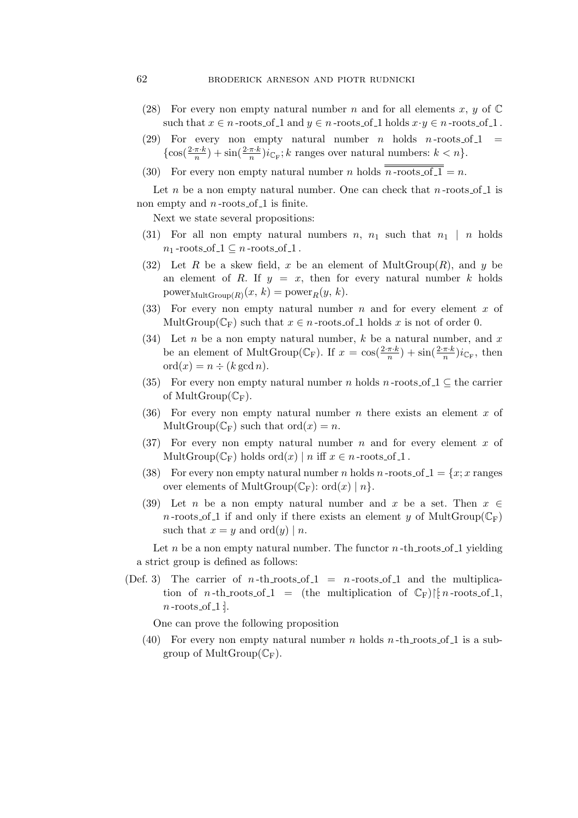# 62 broderick arneson and piotr rudnicki

- (28) For every non empty natural number n and for all elements x, y of  $\mathbb C$ such that  $x \in n$ -roots of 1 and  $y \in n$ -roots of 1 holds  $x \cdot y \in n$ -roots of 1.
- (29) For every non empty natural number *n* holds *n*-roots of  $1 =$  $\{\cos(\frac{2 \cdot \pi \cdot k}{n}) + \sin(\frac{2 \cdot \pi \cdot k}{n})i_{\mathbb{C}_{\mathcal{F}}}; k \text{ ranges over natural numbers: } k < n\}.$
- (30) For every non empty natural number *n* holds  $\overline{n\text{-roots of }1} = n$ .

Let n be a non empty natural number. One can check that  $n$ -roots of 1 is non empty and  $n$ -roots of 1 is finite.

Next we state several propositions:

- (31) For all non empty natural numbers  $n, n_1$  such that  $n_1 | n$  holds  $n_1$ -roots\_of\_1  $\subseteq$  *n*-roots\_of\_1.
- (32) Let R be a skew field, x be an element of  $MultGroup(R)$ , and y be an element of R. If  $y = x$ , then for every natural number k holds power $_{\text{MultGroup}(R)}(x, k) = \text{power}_R(y, k).$
- (33) For every non empty natural number n and for every element x of MultGroup( $\mathbb{C}_{\mathrm{F}}$ ) such that  $x \in n$ -roots of 1 holds x is not of order 0.
- (34) Let n be a non empty natural number, k be a natural number, and x be an element of MultGroup( $\mathbb{C}_{\mathcal{F}}$ ). If  $x = \cos(\frac{2 \cdot \pi \cdot k}{n}) + \sin(\frac{2 \cdot \pi \cdot k}{n}) i_{\mathbb{C}_{\mathcal{F}}},$  then  $\mathrm{ord}(x) = n \div (k \gcd n).$
- (35) For every non empty natural number *n* holds *n*-roots of  $\lrcorner$   $\lrcorner$  the carrier of MultGroup $(\mathbb{C}_{F})$ .
- (36) For every non empty natural number n there exists an element x of MultGroup( $\mathbb{C}_{\mathbb{F}}$ ) such that ord(x) = n.
- (37) For every non empty natural number n and for every element x of MultGroup( $\mathbb{C}_{\mathrm{F}}$ ) holds ord(x) | n iff  $x \in n$ -roots of 1.
- (38) For every non empty natural number *n* holds *n*-roots of  $1 = \{x; x \text{ ranges}$ over elements of MultGroup( $\mathbb{C}_F$ ): ord(x) | n}.
- (39) Let n be a non empty natural number and x be a set. Then x *∈* n-roots of 1 if and only if there exists an element y of MultGroup( $\mathbb{C}_{\mathrm{F}}$ ) such that  $x = y$  and ord $(y) | n$ .

Let n be a non empty natural number. The functor  $n$ -th roots of 1 yielding a strict group is defined as follows:

(Def. 3) The carrier of n-th roots of  $1 = n$ -roots of 1 and the multiplication of n-th\_roots\_of\_1 = (the multiplication of  $\mathbb{C}_F$ )|[: n-roots\_of\_1,  $n$ -roots of  $1$  :

One can prove the following proposition

(40) For every non empty natural number n holds  $n$ -th roots of 1 is a subgroup of MultGroup $(\mathbb{C}_{F})$ .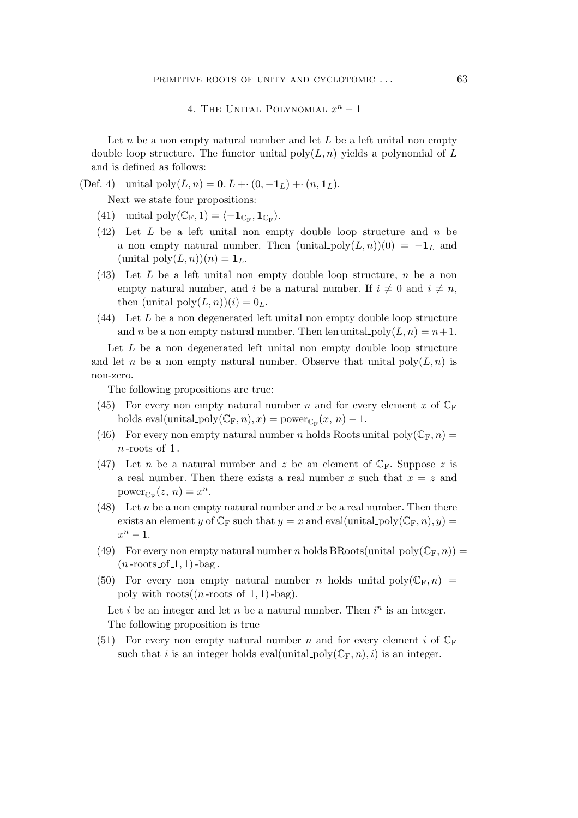# 4. The Unital Polynomial x <sup>n</sup> *−* 1

Let  $n$  be a non empty natural number and let  $L$  be a left unital non empty double loop structure. The functor unital  $poly(L, n)$  yields a polynomial of L and is defined as follows:

# (Def. 4) unital  $poly(L, n) = 0$ .  $L + (0, -1_L) + (n, 1_L)$ .

Next we state four propositions:

- $(41)$  unital\_poly $(\mathbb{C}_{\mathrm{F}}, 1) = \langle -\mathbf{1}_{\mathbb{C}_{\mathrm{F}}}, \mathbf{1}_{\mathbb{C}_{\mathrm{F}}}\rangle.$
- $(42)$  Let L be a left unital non empty double loop structure and n be a non empty natural number. Then  $(\text{unital-poly}(L,n))(0) = -1_L$  and  $(\text{unital-poly}(L,n))(n) = \mathbf{1}_L.$
- $(43)$  Let L be a left unital non empty double loop structure, n be a non empty natural number, and i be a natural number. If  $i \neq 0$  and  $i \neq n$ , then  $(\text{unital-poly}(L,n))(i) = 0_L$ .
- $(44)$  Let L be a non degenerated left unital non empty double loop structure and n be a non empty natural number. Then len unital  $\text{poly}(L,n) = n+1$ .

Let  $L$  be a non degenerated left unital non empty double loop structure and let n be a non empty natural number. Observe that unital  $\text{poly}(L,n)$  is non-zero.

The following propositions are true:

- (45) For every non empty natural number n and for every element x of  $\mathbb{C}_{\mathbb{F}}$ holds eval(unital\_poly( $\mathbb{C}_{\mathbb{F}}$ , *n*), *x*) = power<sub> $\mathbb{C}_{\mathbb{F}}(x, n) - 1$ .</sub>
- (46) For every non empty natural number n holds Roots unital poly $(\mathbb{C}_F,n)$  $n$ -roots\_of\_1.
- (47) Let *n* be a natural number and *z* be an element of  $\mathbb{C}_F$ . Suppose *z* is a real number. Then there exists a real number x such that  $x = z$  and power<sub>CF</sub> $(z, n) = x^n$ .
- (48) Let n be a non empty natural number and x be a real number. Then there exists an element y of  $\mathbb{C}_{\mathbb{F}}$  such that  $y = x$  and eval(unital\_poly( $\mathbb{C}_{\mathbb{F}}$ , n), y) =  $x^n-1$ .
- (49) For every non empty natural number n holds BRoots(unital poly $(\mathbb{C}_F,n)$ ) =  $(n$ -roots of  $-1, 1)$ -bag.
- (50) For every non empty natural number n holds unital poly $(\mathbb{C}_F, n)$  = poly\_with\_roots $((n$ -roots\_of\_1, 1)-bag).

Let *i* be an integer and let *n* be a natural number. Then  $i^n$  is an integer. The following proposition is true

(51) For every non empty natural number n and for every element i of  $\mathbb{C}_{\mathbb{F}}$ such that i is an integer holds eval(unital\_poly( $\mathbb{C}_{F,n}$ ), i) is an integer.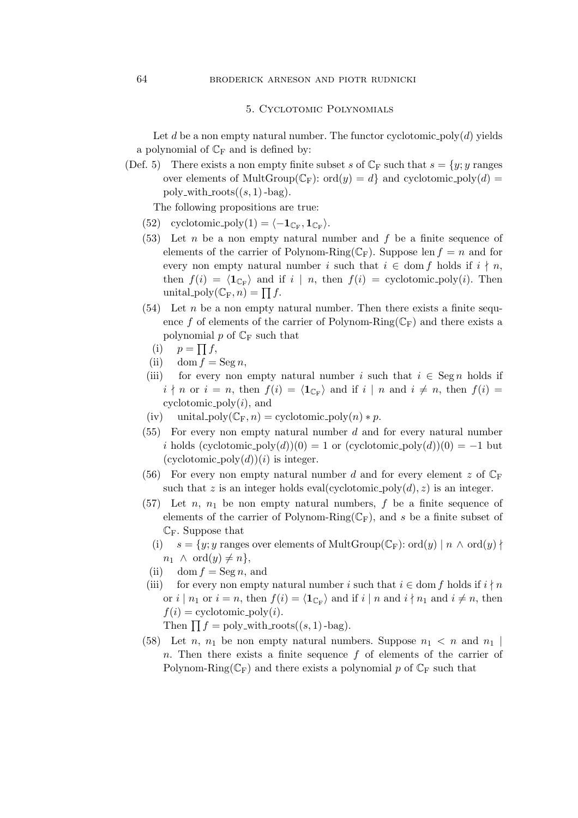### 5. Cyclotomic Polynomials

Let d be a non empty natural number. The functor cyclotomic poly $(d)$  yields a polynomial of  $\mathbb{C}_{F}$  and is defined by:

(Def. 5) There exists a non empty finite subset s of  $\mathbb{C}_F$  such that  $s = \{y; y \text{ ranges}$ over elements of MultGroup( $\mathbb{C}_{\mathrm{F}}$ ): ord(y) = d} and cyclotomic\_poly(d) = poly\_with\_roots $((s, 1)$ -bag).

The following propositions are true:

- $(52)$  cyclotomic\_poly $(1) = \langle -\mathbf{1}_{\mathbb{C}_{\mathbb{F}}}, \mathbf{1}_{\mathbb{C}_{\mathbb{F}}}\rangle.$
- $(53)$  Let *n* be a non empty natural number and f be a finite sequence of elements of the carrier of Polynom-Ring( $\mathbb{C}_{\mathrm{F}}$ ). Suppose len  $f = n$  and for every non empty natural number i such that  $i \in \text{dom } f$  holds if  $i \nmid n$ , then  $f(i) = \langle \mathbf{1}_{\mathbb{C}_{\mathbb{F}}} \rangle$  and if  $i | n$ , then  $f(i) =$  cyclotomic poly $(i)$ . Then unital\_poly $(\mathbb{C}_{\mathrm{F}}, n) = \prod f$ .
- $(54)$  Let n be a non empty natural number. Then there exists a finite sequence f of elements of the carrier of Polynom-Ring( $\mathbb{C}_{\mathrm{F}}$ ) and there exists a polynomial p of  $\mathbb{C}_{\mathrm{F}}$  such that
	- (i)  $p = \prod f$ ,
	- (ii) dom  $f = \text{Seg } n$ ,
- (iii) for every non empty natural number i such that  $i \in \text{Seg } n$  holds if  $i \nmid n$  or  $i = n$ , then  $f(i) = \langle \mathbf{1}_{\mathbb{C}_{\mathbb{F}}} \rangle$  and if  $i \mid n$  and  $i \neq n$ , then  $f(i) =$ cyclotomic\_poly $(i)$ , and
- (iv) unital\_poly( $\mathbb{C}_F$ , n) = cyclotomic\_poly(n) \* p.
- $(55)$  For every non empty natural number d and for every natural number i holds  $(cyclotomic\_poly(d))(0) = 1$  or  $(cyclotomic\_poly(d))(0) = -1$  but  $(cyclotomic_poly(d))(i)$  is integer.
- (56) For every non empty natural number d and for every element z of  $\mathbb{C}_F$ such that z is an integer holds eval(cyclotomic  $\text{poly}(d), z$ ) is an integer.
- (57) Let n,  $n_1$  be non empty natural numbers, f be a finite sequence of elements of the carrier of Polynom-Ring( $\mathbb{C}_{\mathrm{F}}$ ), and s be a finite subset of  $\mathbb{C}_F$ . Suppose that
	- (i)  $s = \{y; y \text{ ranges over elements of MultGroup}(\mathbb{C}_{F}) : \text{ord}(y) \mid n \wedge \text{ord}(y) \}$  $n_1 \wedge \text{ord}(y) \neq n$ ,
	- (ii) dom  $f = \text{Seg } n$ , and
- (iii) for every non empty natural number i such that  $i \in \text{dom } f$  holds if  $i \nmid n$ or  $i \mid n_1$  or  $i = n$ , then  $f(i) = \langle \mathbf{1}_{\mathbb{C}_F} \rangle$  and if  $i \mid n$  and  $i \nmid n_1$  and  $i \neq n$ , then  $f(i) =$  cyclotomic\_poly $(i)$ .

Then  $\prod f = \text{poly\_with\_roots}((s, 1)$ -bag).

(58) Let *n*,  $n_1$  be non empty natural numbers. Suppose  $n_1 < n$  and  $n_1$ n. Then there exists a finite sequence  $f$  of elements of the carrier of Polynom-Ring( $\mathbb{C}_{\mathrm{F}}$ ) and there exists a polynomial p of  $\mathbb{C}_{\mathrm{F}}$  such that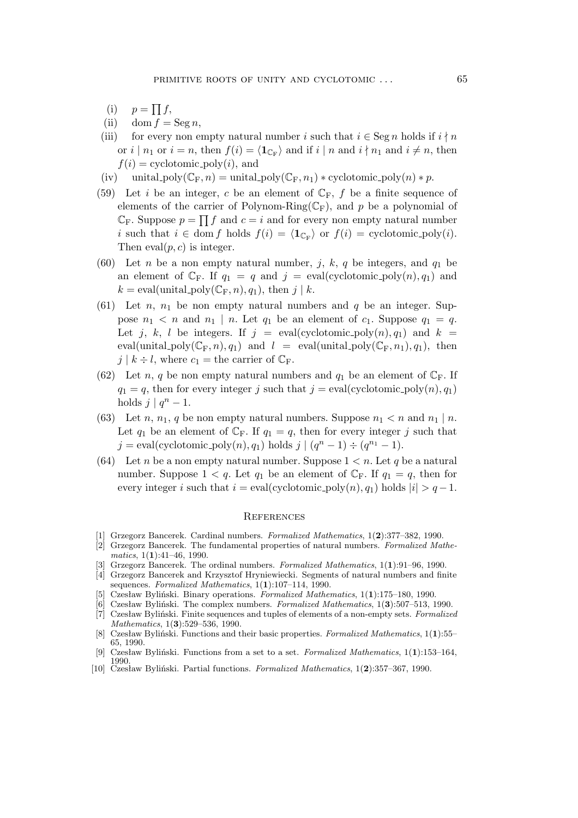- (i)  $p = \prod f$ ,
- (ii) dom  $f = \text{Seg } n$ ,
- (iii) for every non empty natural number i such that  $i \in \text{Seg } n$  holds if  $i \nmid n$ or  $i | n_1$  or  $i = n$ , then  $f(i) = \langle \mathbf{1}_{\mathbb{C}_F} \rangle$  and if  $i | n$  and  $i \nmid n_1$  and  $i \neq n$ , then  $f(i) =$  cyclotomic\_poly(i), and
- (iv) unital\_poly( $\mathbb{C}_F$ , n) = unital\_poly( $\mathbb{C}_F$ , n<sub>1</sub>) \* cyclotomic\_poly(n) \* p.
- (59) Let i be an integer, c be an element of  $\mathbb{C}_F$ , f be a finite sequence of elements of the carrier of Polynom-Ring( $\mathbb{C}_F$ ), and p be a polynomial of  $\mathbb{C}_{\mathrm{F}}$ . Suppose  $p = \prod f$  and  $c = i$  and for every non empty natural number i such that  $i \in \text{dom } f$  holds  $f(i) = \langle \mathbf{1}_{\mathbb{C}_{\mathbb{F}}} \rangle$  or  $f(i) =$  cyclotomic\_poly(i). Then  $eval(p, c)$  is integer.
- (60) Let *n* be a non empty natural number, j, k, q be integers, and  $q_1$  be an element of  $\mathbb{C}_F$ . If  $q_1 = q$  and  $j = \text{eval}(\text{cyclotomic-poly}(n), q_1)$  and  $k = \text{eval}(\text{unital\_poly}(\mathbb{C}_F, n), q_1), \text{ then } j \mid k.$
- (61) Let *n*,  $n_1$  be non empty natural numbers and q be an integer. Suppose  $n_1 < n$  and  $n_1 | n$ . Let  $q_1$  be an element of  $c_1$ . Suppose  $q_1 = q$ . Let j, k, l be integers. If  $j = \text{eval}(\text{cyclotomic-poly}(n), q_1)$  and  $k =$ eval(unital\_poly( $\mathbb{C}_{\mathbb{F}}$ ,n), $q_1$ ) and  $l = \text{eval}(\text{unital\_poly}(\mathbb{C}_{\mathbb{F}}$ ,n<sub>1</sub>), $q_1)$ , then  $j \mid k \div l$ , where  $c_1 =$  the carrier of  $\mathbb{C}_F$ .
- (62) Let n, q be non empty natural numbers and  $q_1$  be an element of  $\mathbb{C}_F$ . If  $q_1 = q$ , then for every integer j such that  $j = \text{eval}(\text{cyclotomic-poly}(n), q_1)$ holds  $j \mid q^n - 1$ .
- (63) Let *n*, *n*<sub>1</sub>, *q* be non empty natural numbers. Suppose  $n_1 < n$  and  $n_1 | n$ . Let  $q_1$  be an element of  $\mathbb{C}_F$ . If  $q_1 = q$ , then for every integer j such that  $j = \text{eval}(\text{cyclotomic-poly}(n), q_1) \text{ holds } j \mid (q^n - 1) \div (q^{n_1} - 1).$
- (64) Let n be a non empty natural number. Suppose  $1 < n$ . Let q be a natural number. Suppose  $1 < q$ . Let  $q_1$  be an element of  $\mathbb{C}_F$ . If  $q_1 = q$ , then for every integer i such that  $i = eval(cyclotomic-poly(n), q_1)$  holds  $|i| > q - 1$ .

#### **REFERENCES**

- [1] Grzegorz Bancerek. Cardinal numbers. *Formalized Mathematics*, 1(**2**):377–382, 1990.
- [2] Grzegorz Bancerek. The fundamental properties of natural numbers. *Formalized Mathematics*, 1(**1**):41–46, 1990.
- [3] Grzegorz Bancerek. The ordinal numbers. *Formalized Mathematics*, 1(**1**):91–96, 1990.
- [4] Grzegorz Bancerek and Krzysztof Hryniewiecki. Segments of natural numbers and finite sequences. *Formalized Mathematics*, 1(**1**):107–114, 1990.
- [5] Czesław Byliński. Binary operations. *Formalized Mathematics*, 1(**1**):175–180, 1990.
- [6] Czesław Byliński. The complex numbers. *Formalized Mathematics*, 1(**3**):507–513, 1990.
- [7] Czesław Byliński. Finite sequences and tuples of elements of a non-empty sets. *Formalized Mathematics*, 1(**3**):529–536, 1990.
- [8] Czesław Byliński. Functions and their basic properties. *Formalized Mathematics*, 1(**1**):55– 65, 1990.
- [9] Czesław Byliński. Functions from a set to a set. *Formalized Mathematics*, 1(**1**):153–164, 1990.
- [10] Czesław Byliński. Partial functions. *Formalized Mathematics*, 1(**2**):357–367, 1990.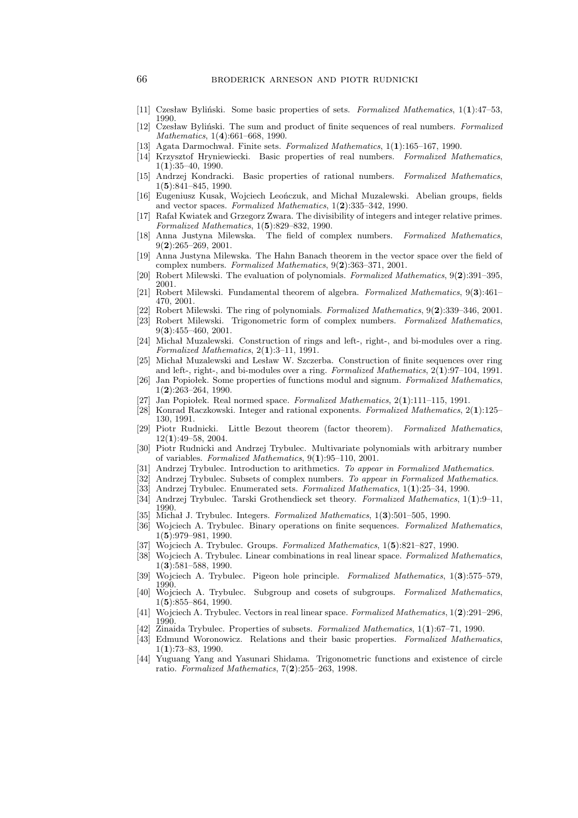- [11] Czesław Byliński. Some basic properties of sets. *Formalized Mathematics*, 1(**1**):47–53, 1990.
- [12] Czesław Byliński. The sum and product of finite sequences of real numbers. *Formalized Mathematics*, 1(**4**):661–668, 1990.
- [13] Agata Darmochwał. Finite sets. *Formalized Mathematics*, 1(**1**):165–167, 1990.
- [14] Krzysztof Hryniewiecki. Basic properties of real numbers. *Formalized Mathematics*, 1(**1**):35–40, 1990.
- [15] Andrzej Kondracki. Basic properties of rational numbers. *Formalized Mathematics*, 1(**5**):841–845, 1990.
- [16] Eugeniusz Kusak, Wojciech Leończuk, and Michał Muzalewski. Abelian groups, fields and vector spaces. *Formalized Mathematics*, 1(**2**):335–342, 1990.
- [17] Rafał Kwiatek and Grzegorz Zwara. The divisibility of integers and integer relative primes. *Formalized Mathematics*, 1(**5**):829–832, 1990.
- [18] Anna Justyna Milewska. The field of complex numbers. *Formalized Mathematics*, 9(**2**):265–269, 2001.
- [19] Anna Justyna Milewska. The Hahn Banach theorem in the vector space over the field of complex numbers. *Formalized Mathematics*, 9(**2**):363–371, 2001.
- [20] Robert Milewski. The evaluation of polynomials. *Formalized Mathematics*, 9(**2**):391–395, 2001.
- [21] Robert Milewski. Fundamental theorem of algebra. *Formalized Mathematics*, 9(**3**):461– 470, 2001.
- [22] Robert Milewski. The ring of polynomials. *Formalized Mathematics*, 9(**2**):339–346, 2001.
- [23] Robert Milewski. Trigonometric form of complex numbers. *Formalized Mathematics*, 9(**3**):455–460, 2001.
- [24] Michał Muzalewski. Construction of rings and left-, right-, and bi-modules over a ring. *Formalized Mathematics*, 2(**1**):3–11, 1991.
- [25] Michał Muzalewski and Lesław W. Szczerba. Construction of finite sequences over ring and left-, right-, and bi-modules over a ring. *Formalized Mathematics*, 2(**1**):97–104, 1991.
- [26] Jan Popiołek. Some properties of functions modul and signum. *Formalized Mathematics*, 1(**2**):263–264, 1990.
- [27] Jan Popiołek. Real normed space. *Formalized Mathematics*, 2(**1**):111–115, 1991.
- [28] Konrad Raczkowski. Integer and rational exponents. *Formalized Mathematics*, 2(**1**):125– 130, 1991.
- [29] Piotr Rudnicki. Little Bezout theorem (factor theorem). *Formalized Mathematics*, 12(**1**):49–58, 2004.
- [30] Piotr Rudnicki and Andrzej Trybulec. Multivariate polynomials with arbitrary number of variables. *Formalized Mathematics*, 9(**1**):95–110, 2001.
- [31] Andrzej Trybulec. Introduction to arithmetics. *To appear in Formalized Mathematics*.
- [32] Andrzej Trybulec. Subsets of complex numbers. *To appear in Formalized Mathematics*.
- [33] Andrzej Trybulec. Enumerated sets. *Formalized Mathematics*, 1(**1**):25–34, 1990.
- [34] Andrzej Trybulec. Tarski Grothendieck set theory. *Formalized Mathematics*, 1(**1**):9–11, 1990.
- [35] Michał J. Trybulec. Integers. *Formalized Mathematics*, 1(**3**):501–505, 1990.
- [36] Wojciech A. Trybulec. Binary operations on finite sequences. *Formalized Mathematics*, 1(**5**):979–981, 1990.
- [37] Wojciech A. Trybulec. Groups. *Formalized Mathematics*, 1(**5**):821–827, 1990.
- [38] Wojciech A. Trybulec. Linear combinations in real linear space. *Formalized Mathematics*, 1(**3**):581–588, 1990.
- [39] Wojciech A. Trybulec. Pigeon hole principle. *Formalized Mathematics*, 1(**3**):575–579, 1990.
- [40] Wojciech A. Trybulec. Subgroup and cosets of subgroups. *Formalized Mathematics*, 1(**5**):855–864, 1990.
- [41] Wojciech A. Trybulec. Vectors in real linear space. *Formalized Mathematics*, 1(**2**):291–296, 1990.
- [42] Zinaida Trybulec. Properties of subsets. *Formalized Mathematics*, 1(**1**):67–71, 1990.
- [43] Edmund Woronowicz. Relations and their basic properties. *Formalized Mathematics*, 1(**1**):73–83, 1990.
- [44] Yuguang Yang and Yasunari Shidama. Trigonometric functions and existence of circle ratio. *Formalized Mathematics*, 7(**2**):255–263, 1998.